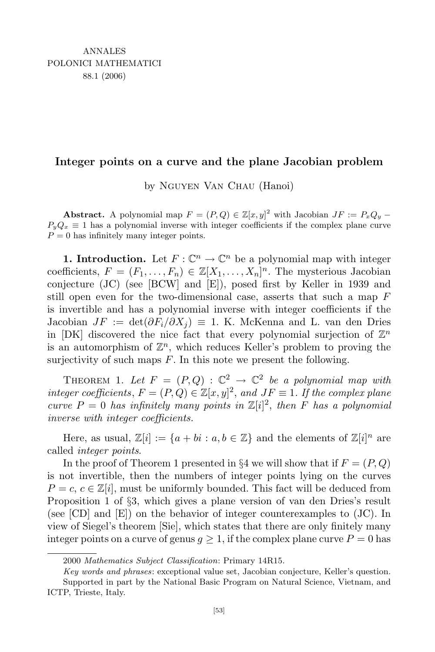## Integer points on a curve and the plane Jacobian problem

by Nguyen Van Chau (Hanoi)

**Abstract.** A polynomial map  $F = (P, Q) \in \mathbb{Z}[x, y]^2$  with Jacobian  $JF := P_x Q_y$  $P_yQ_x \equiv 1$  has a polynomial inverse with integer coefficients if the complex plane curve  $P = 0$  has infinitely many integer points.

**1.** Introduction. Let  $F: \mathbb{C}^n \to \mathbb{C}^n$  be a polynomial map with integer coefficients,  $F = (F_1, \ldots, F_n) \in \mathbb{Z}[X_1, \ldots, X_n]^n$ . The mysterious Jacobian conjecture (JC) (see [BCW] and [E]), posed first by Keller in 1939 and still open even for the two-dimensional case, asserts that such a map  $F$ is invertible and has a polynomial inverse with integer coefficients if the Jacobian  $JF := det(\partial F_i/\partial X_i) \equiv 1$ . K. McKenna and L. van den Dries in [DK] discovered the nice fact that every polynomial surjection of  $\mathbb{Z}^n$ is an automorphism of  $\mathbb{Z}^n$ , which reduces Keller's problem to proving the surjectivity of such maps  $F$ . In this note we present the following.

THEOREM 1. Let  $F = (P,Q) : \mathbb{C}^2 \to \mathbb{C}^2$  be a polynomial map with integer coefficients,  $F = (P,Q) \in \mathbb{Z}[x,y]^2$ , and  $JF \equiv 1$ . If the complex plane curve  $P = 0$  has infinitely many points in  $\mathbb{Z}[i]^2$ , then F has a polynomial inverse with integer coefficients.

Here, as usual,  $\mathbb{Z}[i] := \{a + bi : a, b \in \mathbb{Z}\}\$ and the elements of  $\mathbb{Z}[i]^n$  are called integer points.

In the proof of Theorem 1 presented in §4 we will show that if  $F = (P, Q)$ is not invertible, then the numbers of integer points lying on the curves  $P = c, c \in \mathbb{Z}[i]$ , must be uniformly bounded. This fact will be deduced from Proposition 1 of §3, which gives a plane version of van den Dries's result (see [CD] and [E]) on the behavior of integer counterexamples to (JC). In view of Siegel's theorem [Sie], which states that there are only finitely many integer points on a curve of genus  $g \geq 1$ , if the complex plane curve  $P = 0$  has

<sup>2000</sup> Mathematics Subject Classification: Primary 14R15.

Key words and phrases: exceptional value set, Jacobian conjecture, Keller's question. Supported in part by the National Basic Program on Natural Science, Vietnam, and

ICTP, Trieste, Italy.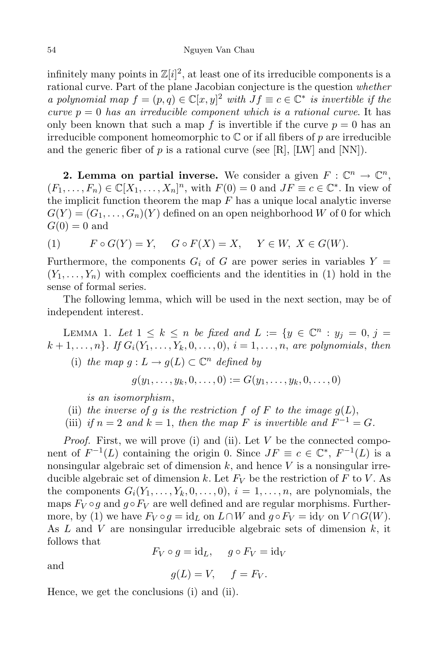infinitely many points in  $\mathbb{Z}[i]^2$ , at least one of its irreducible components is a rational curve. Part of the plane Jacobian conjecture is the question whether a polynomial map  $f = (p, q) \in \mathbb{C}[x, y]^2$  with  $Jf \equiv c \in \mathbb{C}^*$  is invertible if the curve  $p = 0$  has an irreducible component which is a rational curve. It has only been known that such a map f is invertible if the curve  $p = 0$  has an irreducible component homeomorphic to  $\mathbb C$  or if all fibers of p are irreducible and the generic fiber of  $p$  is a rational curve (see [R], [LW] and [NN]).

2. Lemma on partial inverse. We consider a given  $F: \mathbb{C}^n \to \mathbb{C}^n$ ,  $(F_1, \ldots, F_n) \in \mathbb{C}[X_1, \ldots, X_n]^n$ , with  $F(0) = 0$  and  $JF \equiv c \in \mathbb{C}^*$ . In view of the implicit function theorem the map  $F$  has a unique local analytic inverse  $G(Y) = (G_1, \ldots, G_n)(Y)$  defined on an open neighborhood W of 0 for which  $G(0) = 0$  and

(1) 
$$
F \circ G(Y) = Y, \quad G \circ F(X) = X, \quad Y \in W, \ X \in G(W).
$$

Furthermore, the components  $G_i$  of G are power series in variables  $Y =$  $(Y_1, \ldots, Y_n)$  with complex coefficients and the identities in (1) hold in the sense of formal series.

The following lemma, which will be used in the next section, may be of independent interest.

LEMMA 1. Let  $1 \leq k \leq n$  be fixed and  $L := \{y \in \mathbb{C}^n : y_j = 0, j = 1\}$  $k + 1, \ldots, n$ . If  $G_i(Y_1, \ldots, Y_k, 0, \ldots, 0), i = 1, \ldots, n$ , are polynomials, then

(i) the map  $g: L \to g(L) \subset \mathbb{C}^n$  defined by

 $g(y_1, \ldots, y_k, 0, \ldots, 0) := G(y_1, \ldots, y_k, 0, \ldots, 0)$ 

is an isomorphism,

- (ii) the inverse of g is the restriction f of F to the image  $g(L)$ ,
- (iii) if  $n = 2$  and  $k = 1$ , then the map F is invertible and  $F^{-1} = G$ .

*Proof.* First, we will prove (i) and (ii). Let  $V$  be the connected component of  $F^{-1}(L)$  containing the origin 0. Since  $JF \equiv c \in \mathbb{C}^*, F^{-1}(L)$  is a nonsingular algebraic set of dimension  $k$ , and hence  $V$  is a nonsingular irreducible algebraic set of dimension k. Let  $F_V$  be the restriction of F to V. As the components  $G_i(Y_1,\ldots,Y_k,0,\ldots,0), i=1,\ldots,n$ , are polynomials, the maps  $F_V \circ g$  and  $g \circ F_V$  are well defined and are regular morphisms. Furthermore, by (1) we have  $F_V \circ g = id_L$  on  $L \cap W$  and  $g \circ F_V = id_V$  on  $V \cap G(W)$ . As  $L$  and  $V$  are nonsingular irreducible algebraic sets of dimension  $k$ , it follows that  $F_V \circ q = id_L, \quad q \circ F_V = id_V$ 

and

$$
g(L) = V, \quad f = F_V.
$$

Hence, we get the conclusions (i) and (ii).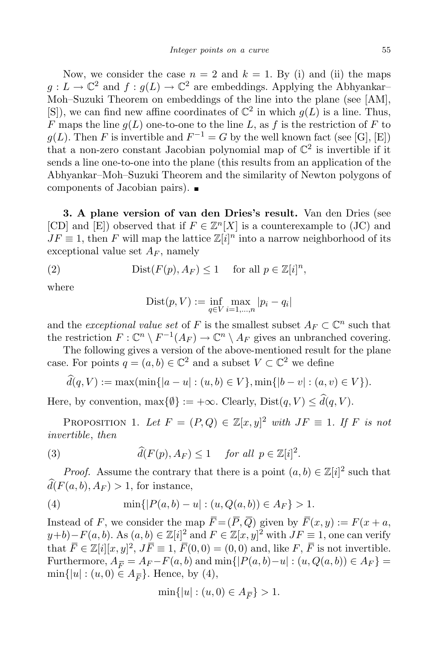Now, we consider the case  $n = 2$  and  $k = 1$ . By (i) and (ii) the maps  $g: L \to \mathbb{C}^2$  and  $f: g(L) \to \mathbb{C}^2$  are embeddings. Applying the Abhyankar– Moh–Suzuki Theorem on embeddings of the line into the plane (see [AM],  $[S]$ , we can find new affine coordinates of  $\mathbb{C}^2$  in which  $g(L)$  is a line. Thus, F maps the line  $g(L)$  one-to-one to the line L, as f is the restriction of F to  $g(L)$ . Then F is invertible and  $F^{-1} = G$  by the well known fact (see [G], [E]) that a non-zero constant Jacobian polynomial map of  $\mathbb{C}^2$  is invertible if it sends a line one-to-one into the plane (this results from an application of the Abhyankar–Moh–Suzuki Theorem and the similarity of Newton polygons of components of Jacobian pairs).

3. A plane version of van den Dries's result. Van den Dries (see [CD] and [E]) observed that if  $F \in \mathbb{Z}^n[X]$  is a counterexample to (JC) and  $JF \equiv 1$ , then F will map the lattice  $\mathbb{Z}[i]^n$  into a narrow neighborhood of its exceptional value set  $A_F$ , namely

(2) 
$$
\text{Dist}(F(p), A_F) \le 1 \quad \text{ for all } p \in \mathbb{Z}[i]^n,
$$

where

Dist
$$
(p, V) := \inf_{q \in V} \max_{i=1,...,n} |p_i - q_i|
$$

and the exceptional value set of F is the smallest subset  $A_F \subset \mathbb{C}^n$  such that the restriction  $F: \mathbb{C}^n \setminus F^{-1}(A_F) \to \mathbb{C}^n \setminus A_F$  gives an unbranched covering.

The following gives a version of the above-mentioned result for the plane case. For points  $q = (a, b) \in \mathbb{C}^2$  and a subset  $V \subset \mathbb{C}^2$  we define

$$
d(q, V) := \max(\min\{|a - u| : (u, b) \in V\}, \min\{|b - v| : (a, v) \in V\}).
$$

Here, by convention,  $\max\{\emptyset\} := +\infty$ . Clearly,  $Dist(q, V) \leq \widehat{d}(q, V)$ .

PROPOSITION 1. Let  $F = (P,Q) \in \mathbb{Z}[x,y]^2$  with  $JF \equiv 1$ . If F is not invertible, then

(3) 
$$
\widehat{d}(F(p), A_F) \leq 1 \quad \text{for all } p \in \mathbb{Z}[i]^2.
$$

*Proof.* Assume the contrary that there is a point  $(a, b) \in \mathbb{Z}[i]^2$  such that  $\widehat{d}(F(a, b), A_F) > 1$ , for instance,

(4) 
$$
\min\{|P(a,b) - u| : (u, Q(a,b)) \in A_F\} > 1.
$$

Instead of F, we consider the map  $\overline{F} = (\overline{P}, \overline{Q})$  given by  $\overline{F}(x, y) := F(x + a, \overline{Q})$  $(y+b) - F(a, b)$ . As  $(a, b) \in \mathbb{Z}[i]^2$  and  $F \in \mathbb{Z}[x, y]^2$  with  $JF \equiv 1$ , one can verify that  $\overline{F} \in \mathbb{Z}[i][x, y]^2$ ,  $J\overline{F} \equiv 1$ ,  $\overline{F}(0, 0) = (0, 0)$  and, like  $F$ ,  $\overline{F}$  is not invertible. Furthermore,  $A_{\overline{F}} = A_F - F(a, b)$  and  $\min\{|P(a, b) - u| : (u, Q(a, b)) \in A_F\}$  $\min\{|u|: (u,0) \in A_{\overline{F}}\}.$  Hence, by (4),

$$
\min\{|u| : (u,0) \in A_{\overline{F}}\} > 1.
$$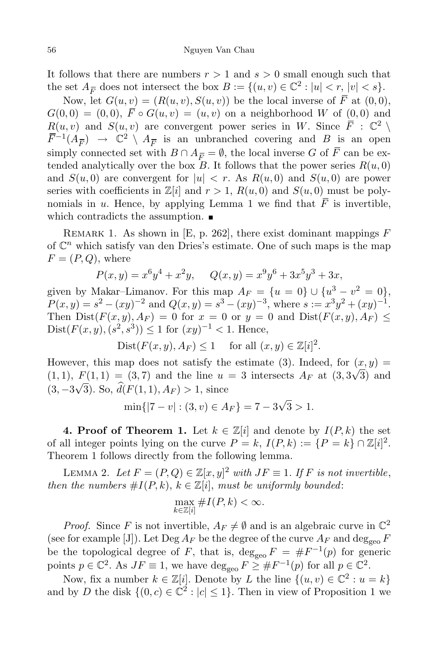It follows that there are numbers  $r > 1$  and  $s > 0$  small enough such that the set  $A_{\overline{F}}$  does not intersect the box  $B := \{(u, v) \in \mathbb{C}^2 : |u| < r, |v| < s\}.$ 

Now, let  $G(u, v) = (R(u, v), S(u, v))$  be the local inverse of  $\overline{F}$  at  $(0, 0)$ ,  $G(0,0) = (0,0), \overline{F} \circ G(u,v) = (u,v)$  on a neighborhood W of  $(0,0)$  and  $R(u, v)$  and  $S(u, v)$  are convergent power series in W. Since  $\overline{F}$  :  $\mathbb{C}^2 \setminus \overline{F}$  $\bar{F}^{-1}(A_{\bar{F}}) \rightarrow \mathbb{C}^2 \setminus A_{\bar{F}}$  is an unbranched covering and B is an open simply connected set with  $B \cap A_{\overline{F}} = \emptyset$ , the local inverse G of  $\overline{F}$  can be extended analytically over the box  $B$ . It follows that the power series  $R(u, 0)$ and  $S(u, 0)$  are convergent for  $|u| < r$ . As  $R(u, 0)$  and  $S(u, 0)$  are power series with coefficients in  $\mathbb{Z}[i]$  and  $r > 1$ ,  $R(u, 0)$  and  $S(u, 0)$  must be polynomials in u. Hence, by applying Lemma 1 we find that  $\overline{F}$  is invertible, which contradicts the assumption.  $\blacksquare$ 

REMARK 1. As shown in [E, p. 262], there exist dominant mappings  $F$ of  $\mathbb{C}^n$  which satisfy van den Dries's estimate. One of such maps is the map  $F = (P, Q)$ , where

$$
P(x,y) = x^6y^4 + x^2y, \quad Q(x,y) = x^9y^6 + 3x^5y^3 + 3x,
$$

given by Makar–Limanov. For this map  $A_F = \{u = 0\} \cup \{u^3 - v^2 = 0\},$  $P(x,y) = s^2 - (xy)^{-2}$  and  $Q(x,y) = s^3 - (xy)^{-3}$ , where  $s := x^3y^2 + (xy)^{-1}$ . Then  $Dist(F(x, y), A_F) = 0$  for  $x = 0$  or  $y = 0$  and  $Dist(F(x, y), A_F) \le$  $Dist(F(x, y), (s^2, s^3)) \leq 1$  for  $(xy)^{-1} < 1$ . Hence,

$$
Dist(F(x, y), A_F) \le 1 \quad \text{ for all } (x, y) \in \mathbb{Z}[i]^2.
$$

However, this map does not satisfy the estimate (3). Indeed, for  $(x, y) =$ (1, 1),  $F(1,1) = (3,7)$  and the line  $u = 3$  intersects  $A_F$  at  $(3,3\sqrt{3})$  and  $(3, -3\sqrt{3})$ . So,  $\hat{d}(F(1, 1), A_F) > 1$ , since

$$
\min\{|7 - v| : (3, v) \in A_F\} = 7 - 3\sqrt{3} > 1.
$$

4. Proof of Theorem 1. Let  $k \in \mathbb{Z}[i]$  and denote by  $I(P, k)$  the set of all integer points lying on the curve  $P = k$ ,  $I(P, k) := \{P = k\} \cap \mathbb{Z}[i]^2$ . Theorem 1 follows directly from the following lemma.

LEMMA 2. Let  $F = (P, Q) \in \mathbb{Z}[x, y]^2$  with  $JF \equiv 1$ . If F is not invertible, then the numbers  $\#I(P, k)$ ,  $k \in \mathbb{Z}[i]$ , must be uniformly bounded:

$$
\max_{k \in \mathbb{Z}[i]} \# I(P,k) < \infty.
$$

*Proof.* Since F is not invertible,  $A_F \neq \emptyset$  and is an algebraic curve in  $\mathbb{C}^2$ (see for example [J]). Let  $\text{Deg } A_F$  be the degree of the curve  $A_F$  and  $\text{deg}_{\text{geo}} F$ be the topological degree of F, that is,  $deg_{geo} F = \#F^{-1}(p)$  for generic points  $p \in \mathbb{C}^2$ . As  $JF \equiv 1$ , we have  $\deg_{\text{geo}} F \geq \#F^{-1}(p)$  for all  $p \in \mathbb{C}^2$ .

Now, fix a number  $k \in \mathbb{Z}[i]$ . Denote by L the line  $\{(u, v) \in \mathbb{C}^2 : u = k\}$ and by D the disk  $\{(0, c) \in \mathbb{C}^2 : |c| \leq 1\}$ . Then in view of Proposition 1 we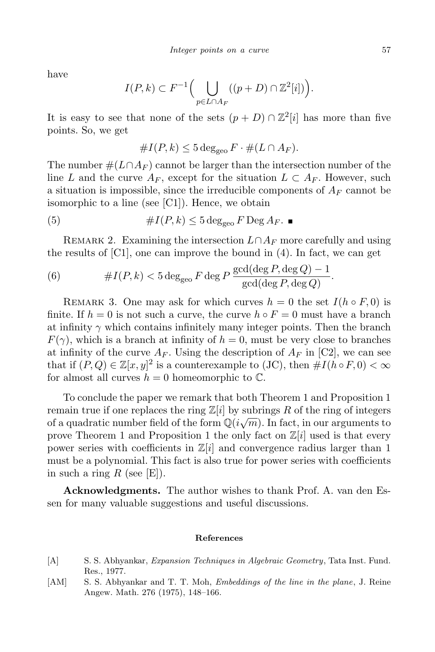have

$$
I(P,k) \subset F^{-1}\Big(\bigcup_{p \in L \cap A_F} ((p+D) \cap \mathbb{Z}^2[i])\Big).
$$

It is easy to see that none of the sets  $(p+D) \cap \mathbb{Z}^2[i]$  has more than five points. So, we get

$$
#I(P,k) \leq 5 \deg_{\text{geo}} F \cdot \#(L \cap A_F).
$$

The number  $\#(L \cap A_F)$  cannot be larger than the intersection number of the line L and the curve  $A_F$ , except for the situation  $L \subset A_F$ . However, such a situation is impossible, since the irreducible components of  $A_F$  cannot be isomorphic to a line (see [C1]). Hence, we obtain

(5) 
$$
\#I(P,k) \leq 5 \deg_{\text{geo}} F \operatorname{Deg}_{R}.
$$

REMARK 2. Examining the intersection  $L \cap A_F$  more carefully and using the results of  $[C1]$ , one can improve the bound in  $(4)$ . In fact, we can get

(6) 
$$
\#I(P,k) < 5 \deg_{\text{geo}} F \deg P \frac{\text{gcd}(\deg P, \deg Q) - 1}{\text{gcd}(\deg P, \deg Q)}.
$$

REMARK 3. One may ask for which curves  $h = 0$  the set  $I(h \circ F, 0)$  is finite. If  $h = 0$  is not such a curve, the curve  $h \circ F = 0$  must have a branch at infinity  $\gamma$  which contains infinitely many integer points. Then the branch  $F(\gamma)$ , which is a branch at infinity of  $h = 0$ , must be very close to branches at infinity of the curve  $A_F$ . Using the description of  $A_F$  in [C2], we can see that if  $(P,Q) \in \mathbb{Z}[x,y]^2$  is a counterexample to (JC), then  $\#I(h \circ F, 0) < \infty$ for almost all curves  $h = 0$  homeomorphic to  $\mathbb{C}$ .

To conclude the paper we remark that both Theorem 1 and Proposition 1 remain true if one replaces the ring  $\mathbb{Z}[i]$  by subrings R of the ring of integers of a quadratic number field of the form  $\mathbb{Q}(i\sqrt{m})$ . In fact, in our arguments to prove Theorem 1 and Proposition 1 the only fact on  $\mathbb{Z}[i]$  used is that every power series with coefficients in  $\mathbb{Z}[i]$  and convergence radius larger than 1 must be a polynomial. This fact is also true for power series with coefficients in such a ring R (see  $[E]$ ).

Acknowledgments. The author wishes to thank Prof. A. van den Essen for many valuable suggestions and useful discussions.

## References

- [A] S. S. Abhyankar, Expansion Techniques in Algebraic Geometry, Tata Inst. Fund. Res., 1977.
- [AM] S. S. Abhyankar and T. T. Moh, *Embeddings of the line in the plane*, J. Reine Angew. Math. 276 (1975), 148–166.